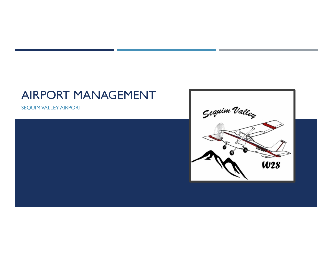# AIRPORT MANAGEMENT

SEQUIM VALLEY AIRPORT



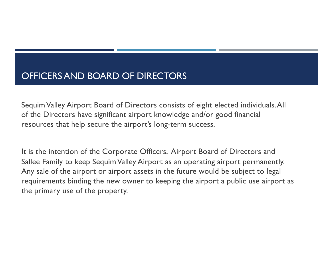## OFFICERS AND BOARD OF DIRECTORS

Sequim Valley Airport Board of Directors consists of eight elected individuals. All of the Directors have significant airport knowledge and/or good financial resources that help secure the airport's long-term success.

It is the intention of the Corporate Officers, Airport Board of Directors and Sallee Family to keep Sequim Valley Airport as an operating airport permanently. Any sale of the airport or airport assets in the future would be subject to legal requirements binding the new owner to keeping the airport a public use airport as the primary use of the property.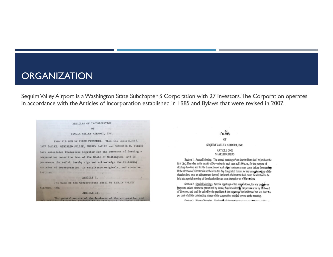### **ORGANIZATION**

Sequim Valley Airport is a Washington State Subchapter S Corporation with 27 investors. The Corporation operates in accordance with the Articles of Incorporation established in 1985 and Bylaws that were revised in 2007.

ARTICLES OF INCORPORATION OF SEQUIM VALLEY AIRPORT, INC. KNOW ALL MEN BY THESE PRESENTS: That the undersigned. JACK SALLEE, WINIFRED SALLEE, ANDREW SALLEE and NARJORIE M. FOREST have associated themselves together for the purposes of forming a corporation under the laws of the State of Washington, and in pursuance thereof do hereby sign and acknowledge the following Articles of Incorporation, in triplicate originals, and state as follows: ARTICLE I, are conferred upon or The name of the Corporations shall be SEQUIM VALLEY AIRPORT, INC. The committee the ARTICLE II. The general nature of the business of the corporation and

#### **BYLAWS** OF SEQUIM VALLEY AIRPORT, INC. ARTICLE ONE **SHAREHOLDERS**

Section 1. Annual Meeting. The annual meeting of the shareholders shall be held on the first (1st) Thursday in the month of November in each year at 11:00 a.m., for the purpose of electing directors and for the transaction of such other business as may come before the meeting. If the election of directors is not held on the day designated herein for any annual merging of the shareholders, or at an adjournment thereof, the board of directors shall cause the election to be held at a special meeting of the shareholders as soon thereafter as is convenient.

Section 2. Special Meetings. Special meetings of the shap holders, for any purplese or purposes, unless otherwise prescribed by statue, may be called y the president or by the board of directors, and shall be called by the president at the request of the holders of not less than ten per cent of all the outstanding shares of the corporation entitled to vote at the meeting.

Section 3 Place of Meeting The board of directeds was decimated which within an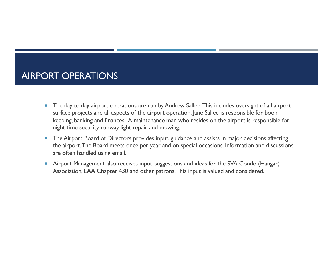## AIRPORT OPERATIONS

- The day to day airport operations are run by Andrew Sallee. This includes oversight of all airport surface projects and all aspects of the airport operation. Jane Sallee is responsible for book keeping, banking and finances. A maintenance man who resides on the airport is responsible for night time security, runway light repair and mowing.
- The Airport Board of Directors provides input, guidance and assists in major decisions affecting the airport. The Board meets once per year and on special occasions. Information and discussions are often handled using email.
- **E** Airport Management also receives input, suggestions and ideas for the SVA Condo (Hangar) Association, EAA Chapter 430 and other patrons. This input is valued and considered.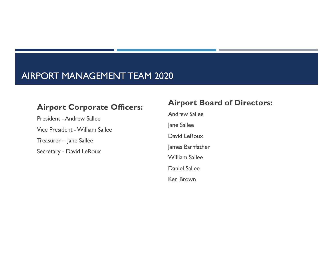## AIRPORT MANAGEMENT TEAM 2020

#### **Airport Corporate Officers:**

President -Andrew Sallee Vice President -William Sallee Treasurer – Jane Sallee Secretary - David LeRoux

#### **Airport Board of Directors:**

Andrew Sallee Jane Sallee David LeRoux James Barnfather William Sallee Daniel Sallee Ken Brown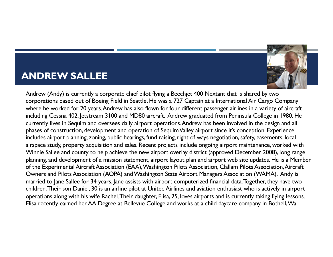## **ANDREW SALLEE**



Andrew (Andy) is currently a corporate chief pilot flying a Beechjet 400 Nextant that is shared by two corporations based out of Boeing Field in Seattle. He was a 727 Captain at a International Air Cargo Company where he worked for 20 years. Andrew has also flown for four different passenger airlines in a variety of aircraft including Cessna 402, Jetstream 3100 and MD80 aircraft. Andrew graduated from Peninsula College in 1980. He currently lives in Sequim and oversees daily airport operations. Andrew has been involved in the design and all phases of construction, development and operation of Sequim Valley airport since it's conception. Experience includes airport planning, zoning, public hearings, fund raising, right of ways negotiation, safety, easements, local airspace study, property acquisition and sales. Recent projects include ongoing airport maintenance, worked with Winnie Sallee and county to help achieve the new airport overlay district (approved December 2008), long range planning, and development of a mission statement, airport layout plan and airport web site updates. He is a Member of the Experimental Aircraft Association (EAA), Washington Pilots Association, Clallam Pilots Association, Aircraft Owners and Pilots Association (AOPA) and Washington State Airport Managers Association (WAMA). Andy is married to Jane Sallee for 34 years. Jane assists with airport computerized financial data. Together, they have two children. Their son Daniel, 30 is an airline pilot at United Airlines and aviation enthusiast who is actively in airport operations along with his wife Rachel. Their daughter, Elisa, 25, loves airports and is currently taking flying lessons. Elisa recently earned her AA Degree at Bellevue College and works at a child daycare company in Bothell, Wa.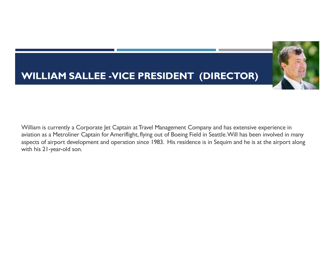## **WILLIAM SALLEE -VICE PRESIDENT (DIRECTOR)**



William is currently a Corporate Jet Captain at Travel Management Company and has extensive experience in aviation as a Metroliner Captain for Ameriflight, flying out of Boeing Field in Seattle. Will has been involved in many aspects of airport development and operation since 1983. His residence is in Sequim and he is at the airport along with his 21-year-old son.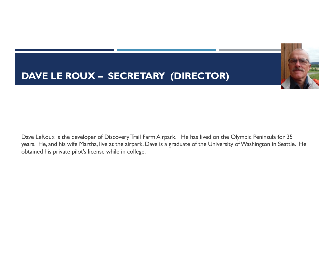## **DAVE LE ROUX – SECRETARY (DIRECTOR)**



Dave LeRoux is the developer of Discovery Trail Farm Airpark. He has lived on the Olympic Peninsula for 35 years. He, and his wife Martha, live at the airpark. Dave is a graduate of the University of Washington in Seattle. He obtained his private pilot's license while in college.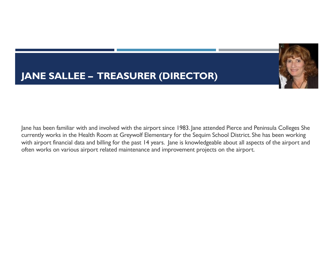# **JANE SALLEE – TREASURER (DIRECTOR)**



Jane has been familiar with and involved with the airport since 1983. Jane attended Pierce and Peninsula Colleges She currently works in the Health Room at Greywolf Elementary for the Sequim School District. She has been working with airport financial data and billing for the past 14 years. Jane is knowledgeable about all aspects of the airport and often works on various airport related maintenance and improvement projects on the airport.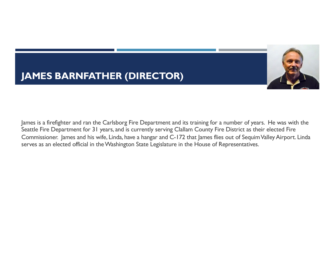## **JAMES BARNFATHER (DIRECTOR)**



James is a firefighter and ran the Carlsborg Fire Department and its training for a number of years. He was with the Seattle Fire Department for 31 years, and is currently serving Clallam County Fire District as their elected Fire Commissioner. James and his wife, Linda, have a hangar and C-172 that James flies out of Sequim Valley Airport. Linda serves as an elected official in the Washington State Legislature in the House of Representatives.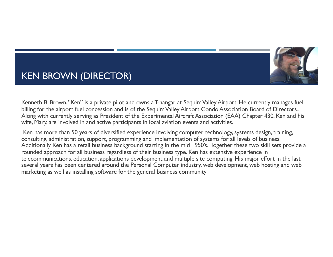

## KEN BROWN (DIRECTOR)

Kenneth B. Brown, "Ken" is a private pilot and owns a T-hangar at Sequim Valley Airport. He currently manages fuel billing for the airport fuel concession and is of the Sequim Valley Airport Condo Association Board of Directors.. Along with currently serving as President of the Experimental Aircraft Association (EAA) Chapter 430, Ken and his wife, Mary, are involved in and active participants in local aviation events and activities.

Ken has more than 50 years of diversified experience involving computer technology, systems design, training, consulting, administration, support, programming and implementation of systems for all levels of business. Additionally Ken has a retail business background starting in the mid 1950's. Together these two skill sets provide a rounded approach for all business regardless of their business type. Ken has extensive experience in telecommunications, education, applications development and multiple site computing. His major effort in the last several years has been centered around the Personal Computer industry, web development, web hosting and web marketing as well as installing software for the general business community